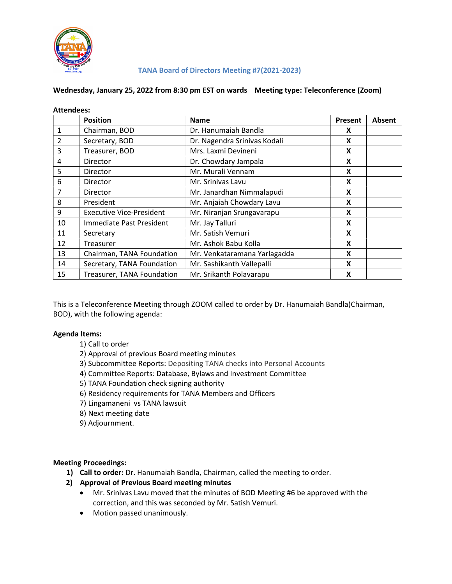

### TANA Board of Directors Meeting #7(2021-2023)

#### Wednesday, January 25, 2022 from 8:30 pm EST on wards Meeting type: Teleconference (Zoom)

| <b>Attendees:</b> |                                 |                              |         |               |
|-------------------|---------------------------------|------------------------------|---------|---------------|
|                   | <b>Position</b>                 | <b>Name</b>                  | Present | <b>Absent</b> |
| 1                 | Chairman, BOD                   | Dr. Hanumaiah Bandla         | X       |               |
| 2                 | Secretary, BOD                  | Dr. Nagendra Srinivas Kodali | X       |               |
| 3                 | Treasurer, BOD                  | Mrs. Laxmi Devineni          | X       |               |
| 4                 | <b>Director</b>                 | Dr. Chowdary Jampala         | X       |               |
| 5                 | <b>Director</b>                 | Mr. Murali Vennam            | X       |               |
| 6                 | <b>Director</b>                 | Mr. Srinivas Lavu            | X       |               |
| 7                 | <b>Director</b>                 | Mr. Janardhan Nimmalapudi    | X       |               |
| 8                 | President                       | Mr. Anjaiah Chowdary Lavu    | X       |               |
| 9                 | <b>Executive Vice-President</b> | Mr. Niranjan Srungavarapu    | X       |               |
| 10                | Immediate Past President        | Mr. Jay Talluri              | X       |               |
| 11                | Secretary                       | Mr. Satish Vemuri            | X       |               |
| 12                | Treasurer                       | Mr. Ashok Babu Kolla         | X       |               |
| 13                | Chairman, TANA Foundation       | Mr. Venkataramana Yarlagadda | X       |               |
| 14                | Secretary, TANA Foundation      | Mr. Sashikanth Vallepalli    | X       |               |
| 15                | Treasurer, TANA Foundation      | Mr. Srikanth Polavarapu      | X       |               |

This is a Teleconference Meeting through ZOOM called to order by Dr. Hanumaiah Bandla(Chairman, BOD), with the following agenda:

### Agenda Items:

- 1) Call to order
- 2) Approval of previous Board meeting minutes
- 3) Subcommittee Reports: Depositing TANA checks into Personal Accounts
- 4) Committee Reports: Database, Bylaws and Investment Committee
- 5) TANA Foundation check signing authority
- 6) Residency requirements for TANA Members and Officers
- 7) Lingamaneni vs TANA lawsuit
- 8) Next meeting date
- 9) Adjournment.

### Meeting Proceedings:

- 1) Call to order: Dr. Hanumaiah Bandla, Chairman, called the meeting to order.
- 2) Approval of Previous Board meeting minutes
	- Mr. Srinivas Lavu moved that the minutes of BOD Meeting #6 be approved with the correction, and this was seconded by Mr. Satish Vemuri.
	- Motion passed unanimously.